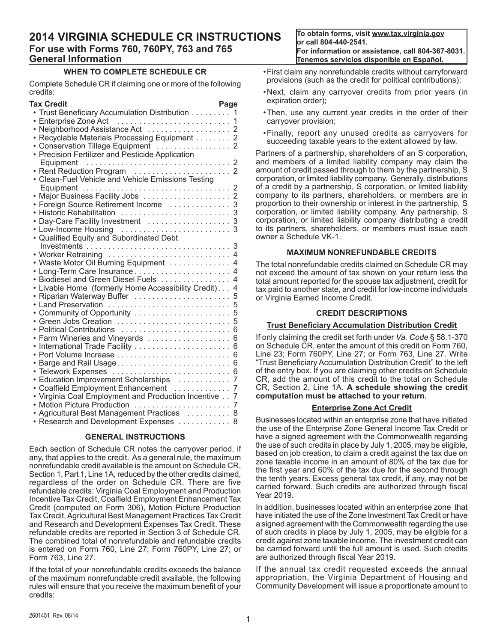# **2014 VIRGINIA SCHEDULE CR INSTRUCTIONS For use with Forms 760, 760PY, 763 and 765 General Information**

# **WHEN TO COMPLETE SCHEDULE CR**

Complete Schedule CR if claiming one or more of the following credits:

| Tax Credit                                                                        | Page           |
|-----------------------------------------------------------------------------------|----------------|
| Trust Beneficiary Accumulation Distribution                                       | 1              |
| Enterprise Zone Act<br>Neighborhood Assistance Act<br>Neighborhood Assistance Act | 1              |
|                                                                                   | 2              |
| Recyclable Materials Processing Equipment                                         | $\overline{c}$ |
| Conservation Tillage Equipment                                                    | $\overline{2}$ |
| Precision Fertilizer and Pesticide Application                                    |                |
| Equipment                                                                         | 2              |
|                                                                                   | $\mathfrak{p}$ |
| Clean-Fuel Vehicle and Vehicle Emissions Testing                                  |                |
|                                                                                   | 2              |
|                                                                                   | $\overline{2}$ |
|                                                                                   | 3<br>3         |
|                                                                                   | 3              |
| Day-Care Facility Investment                                                      | 3              |
| Low-Income Housing<br>Qualified Equity and Subordinated Debt                      |                |
|                                                                                   | 3              |
| Worker Retraining                                                                 | 4              |
| Waste Motor Oil Burning Equipment                                                 | $\overline{4}$ |
|                                                                                   | 4              |
| Biodiesel and Green Diesel Fuels                                                  | 4              |
| Livable Home (formerly Home Accessibility Credit)                                 | 4              |
| Riparian Waterway Buffer                                                          | 5              |
| Land Preservation                                                                 | 5              |
| Community of Opportunity                                                          | 5              |
|                                                                                   | 5              |
| Political Contributions                                                           | 6              |
| Farm Wineries and Vineyards                                                       | 6              |
| International Trade Facility                                                      | 6              |
|                                                                                   | 6              |
| Barge and Rail Usage                                                              | 6              |
| Telework Expenses                                                                 | 6              |
| Education Improvement Scholarships                                                | 7              |
| Coalfield Employment Enhancement                                                  | 7              |
| Virginia Coal Employment and Production Incentive                                 | 7              |
| <b>Motion Picture Production</b>                                                  | 7              |
| Agricultural Best Management Practices                                            | 8              |
| Research and Development Expenses                                                 | 8              |
|                                                                                   |                |

# **GENERAL INSTRUCTIONS**

Each section of Schedule CR notes the carryover period, if any, that applies to the credit. As a general rule, the maximum nonrefundable credit available is the amount on Schedule CR, Section 1, Part 1, Line 1A, reduced by the other credits claimed, regardless of the order on Schedule CR. There are five refundable credits: Virginia Coal Employment and Production Incentive Tax Credit, Coalfield Employment Enhancement Tax Credit (computed on Form 306), Motion Picture Production Tax Credit, Agricultural Best Management Practices Tax Credit and Research and Development Expenses Tax Credit. These refundable credits are reported in Section 3 of Schedule CR. The combined total of nonrefundable and refundable credits is entered on Form 760, Line 27; Form 760PY, Line 27; or Form 763, Line 27.

If the total of your nonrefundable credits exceeds the balance of the maximum nonrefundable credit available, the following rules will ensure that you receive the maximum benefit of your credits:

**To obtain forms, visit www.tax.virginia.gov or call 804-440-2541. For information or assistance, call 804-367-8031. Tenemos servicios disponible en Español.**

- • First claim any nonrefundable credits without carryforward provisions (such as the credit for political contributions);
- • Next, claim any carryover credits from prior years (in expiration order);
- Then, use any current year credits in the order of their carryover provision;
- • Finally, report any unused credits as carryovers for succeeding taxable years to the extent allowed by law.

Partners of a partnership, shareholders of an S corporation, and members of a limited liability company may claim the amount of credit passed through to them by the partnership, S corporation, or limited liability company. Generally, distributions of a credit by a partnership, S corporation, or limited liability company to its partners, shareholders, or members are in proportion to their ownership or interest in the partnership, S corporation, or limited liability company. Any partnership, S corporation, or limited liability company distributing a credit to its partners, shareholders, or members must issue each owner a Schedule VK-1.

### **MAXIMUM NONREFUNDABLE CREDITS**

The total nonrefundable credits claimed on Schedule CR may not exceed the amount of tax shown on your return less the total amount reported for the spouse tax adjustment, credit for tax paid to another state, and credit for low-income individuals or Virginia Earned Income Credit.

### **CREDIT DESCRIPTIONS**

### **Trust Beneficiary Accumulation Distribution Credit**

If only claiming the credit set forth under *Va. Code* § 58.1‑370 on Schedule CR, enter the amount of this credit on Form 760, Line 23; Form 760PY, Line 27; or Form 763, Line 27. Write "Trust Beneficiary Accumulation Distribution Credit" to the left of the entry box. If you are claiming other credits on Schedule CR, add the amount of this credit to the total on Schedule CR, Section 2, Line 1A. **A schedule showing the credit computation must be attached to your return.**

### **Enterprise Zone Act Credit**

Businesses located within an enterprise zone that have initiated the use of the Enterprise Zone General Income Tax Credit or have a signed agreement with the Commonwealth regarding the use of such credits in place by July 1, 2005, may be eligible, based on job creation, to claim a credit against the tax due on zone taxable income in an amount of 80% of the tax due for the first year and 60% of the tax due for the second through the tenth years. Excess general tax credit, if any, may not be carried forward. Such credits are authorized through fiscal Year 2019.

In addition, businesses located within an enterprise zone that have initiated the use of the Zone Investment Tax Credit or have a signed agreement with the Commonwealth regarding the use of such credits in place by July 1, 2005, may be eligible for a credit against zone taxable income. The investment credit can be carried forward until the full amount is used. Such credits are authorized through fiscal Year 2019.

If the annual tax credit requested exceeds the annual appropriation, the Virginia Department of Housing and Community Development will issue a proportionate amount to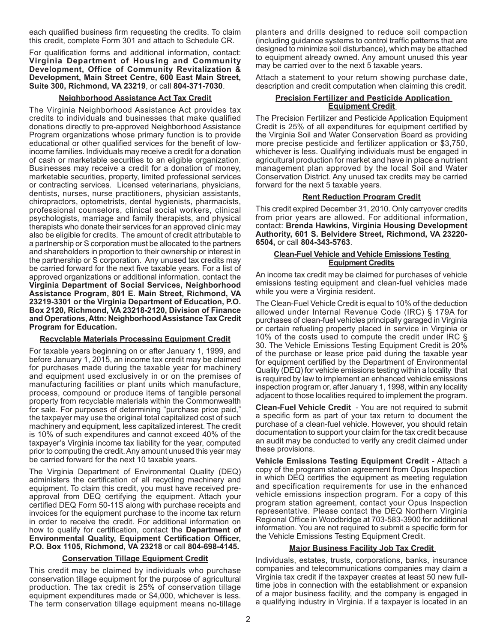each qualified business firm requesting the credits. To claim this credit, complete Form 301 and attach to Schedule CR.

### For qualification forms and additional information, contact: **Virginia Department of Housing and Community Development, Office of Community Revitalization & Development, Main Street Centre, 600 East Main Street, Suite 300, Richmond, VA 23219**, or call **804-371-7030**.

### **Neighborhood Assistance Act Tax Credit**

The Virginia Neighborhood Assistance Act provides tax credits to individuals and businesses that make qualified donations directly to pre-approved Neighborhood Assistance Program organizations whose primary function is to provide educational or other qualified services for the benefit of lowincome families. Individuals may receive a credit for a donation of cash or marketable securities to an eligible organization. Businesses may receive a credit for a donation of money, marketable securities, property, limited professional services or contracting services. Licensed veterinarians, physicians, dentists, nurses, nurse practitioners, physician assistants, chiropractors, optometrists, dental hygienists, pharmacists, professional counselors, clinical social workers, clinical psychologists, marriage and family therapists, and physical therapists who donate their services for an approved clinic may also be eligible for credits. The amount of credit attributable to a partnership or S corporation must be allocated to the partners and shareholders in proportion to their ownership or interest in the partnership or S corporation. Any unused tax credits may be carried forward for the next five taxable years. For a list of approved organizations or additional information, contact the **Virginia Department of Social Services, Neighborhood Assistance Program, 801 E. Main Street, Richmond, VA 23219-3301 or the Virginia Department of Education, P.O. Box 2120, Richmond, VA 23218-2120, Division of Finance and Operations, Attn: Neighborhood Assistance Tax Credit Program for Education.**

# **Recyclable Materials Processing Equipment Credit**

For taxable years beginning on or after January 1, 1999, and before January 1, 2015, an income tax credit may be claimed for purchases made during the taxable year for machinery and equipment used exclusively in or on the premises of manufacturing facilities or plant units which manufacture, process, compound or produce items of tangible personal property from recyclable materials within the Commonwealth for sale. For purposes of determining "purchase price paid," the taxpayer may use the original total capitalized cost of such machinery and equipment, less capitalized interest. The credit is 10% of such expenditures and cannot exceed 40% of the taxpayer's Virginia income tax liability for the year, computed prior to computing the credit.Any amount unused this year may be carried forward for the next 10 taxable years.

The Virginia Department of Environmental Quality (DEQ) administers the certification of all recycling machinery and equipment. To claim this credit, you must have received preapproval from DEQ certifying the equipment. Attach your certified DEQ Form 50-11S along with purchase receipts and invoices for the equipment purchase to the income tax return in order to receive the credit. For additional information on how to qualify for certification, contact the **Department of Environmental Quality, Equipment Certification Officer, P.O. Box 1105, Richmond, VA 23218** or call **804-698-4145.**

### **Conservation Tillage Equipment Credit**

This credit may be claimed by individuals who purchase conservation tillage equipment for the purpose of agricultural production. The tax credit is 25% of conservation tillage equipment expenditures made or \$4,000, whichever is less. The term conservation tillage equipment means no-tillage

planters and drills designed to reduce soil compaction (including guidance systems to control traffic patterns that are designed to minimize soil disturbance), which may be attached to equipment already owned. Any amount unused this year may be carried over to the next 5 taxable years.

Attach a statement to your return showing purchase date, description and credit computation when claiming this credit.

### **Precision Fertilizer and Pesticide Application Equipment Credit**

The Precision Fertilizer and Pesticide Application Equipment Credit is 25% of all expenditures for equipment certified by the Virginia Soil and Water Conservation Board as providing more precise pesticide and fertilizer application or \$3,750, whichever is less. Qualifying individuals must be engaged in agricultural production for market and have in place a nutrient management plan approved by the local Soil and Water Conservation District. Any unused tax credits may be carried forward for the next 5 taxable years.

### **Rent Reduction Program Credit**

This credit expired December 31, 2010. Only carryover credits from prior years are allowed. For additional information, contact: **Brenda Hawkins, Virginia Housing Development Authority, 601 S. Belvidere Street, Richmond, VA 23220- 6504,** or call **804-343-5763**.

### **Clean-Fuel Vehicle and Vehicle Emissions Testing Equipment Credits**

An income tax credit may be claimed for purchases of vehicle emissions testing equipment and clean-fuel vehicles made while you were a Virginia resident.

The Clean-Fuel Vehicle Credit is equal to 10% of the deduction allowed under Internal Revenue Code (IRC) § 179A for purchases of clean-fuel vehicles principally garaged in Virginia or certain refueling property placed in service in Virginia or 10% of the costs used to compute the credit under IRC § 30. The Vehicle Emissions Testing Equipment Credit is 20% of the purchase or lease price paid during the taxable year for equipment certified by the Department of Environmental Quality (DEQ) for vehicle emissions testing within a locality that is required by law to implement an enhanced vehicle emissions inspection program or, after January 1, 1998, within any locality adjacent to those localities required to implement the program.

**Clean-Fuel Vehicle Credit** - You are not required to submit a specific form as part of your tax return to document the purchase of a clean-fuel vehicle. However, you should retain documentation to support your claim for the tax credit because an audit may be conducted to verify any credit claimed under these provisions.

**Vehicle Emissions Testing Equipment Credit** - Attach a copy of the program station agreement from Opus Inspection in which DEQ certifies the equipment as meeting regulation and specification requirements for use in the enhanced vehicle emissions inspection program. For a copy of this program station agreement, contact your Opus Inspection representative. Please contact the DEQ Northern Virginia Regional Office in Woodbridge at 703-583-3900 for additional information. You are not required to submit a specific form for the Vehicle Emissions Testing Equipment Credit.

### **Major Business Facility Job Tax Credit**

Individuals, estates, trusts, corporations, banks, insurance companies and telecommunications companies may claim a Virginia tax credit if the taxpayer creates at least 50 new fulltime jobs in connection with the establishment or expansion of a major business facility, and the company is engaged in a qualifying industry in Virginia. If a taxpayer is located in an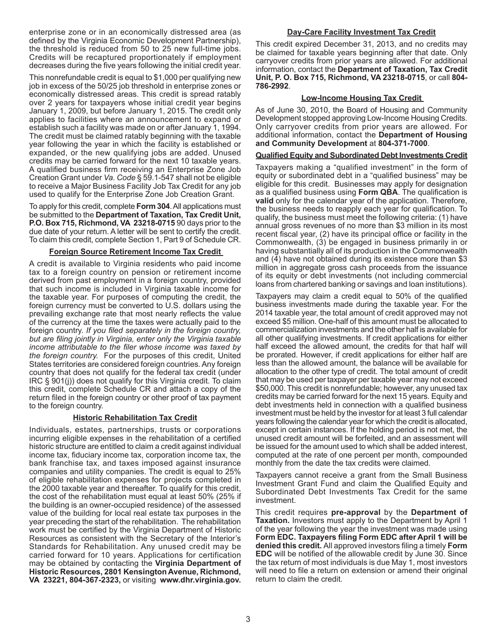enterprise zone or in an economically distressed area (as defined by the Virginia Economic Development Partnership), the threshold is reduced from 50 to 25 new full-time jobs. Credits will be recaptured proportionately if employment decreases during the five years following the initial credit year.

This nonrefundable credit is equal to \$1,000 per qualifying new job in excess of the 50/25 job threshold in enterprise zones or economically distressed areas. This credit is spread ratably over 2 years for taxpayers whose initial credit year begins January 1, 2009, but before January 1, 2015. The credit only applies to facilities where an announcement to expand or establish such a facility was made on or after January 1, 1994. The credit must be claimed ratably beginning with the taxable year following the year in which the facility is established or expanded, or the new qualifying jobs are added. Unused credits may be carried forward for the next 10 taxable years. A qualified business firm receiving an Enterprise Zone Job Creation Grant under *Va. Code* § 59.1-547 shall not be eligible to receive a Major Business Facility Job Tax Credit for any job used to qualify for the Enterprise Zone Job Creation Grant.

To apply for this credit, complete **Form 304**.All applications must be submitted to the **Department of Taxation, Tax Credit Unit, P.O. Box 715, Richmond, VA 23218-0715** 90 days prior to the due date of your return. A letter will be sent to certify the credit. To claim this credit, complete Section 1, Part 9 of Schedule CR.

# **Foreign Source Retirement Income Tax Credit**

A credit is available to Virginia residents who paid income tax to a foreign country on pension or retirement income derived from past employment in a foreign country, provided that such income is included in Virginia taxable income for the taxable year. For purposes of computing the credit, the foreign currency must be converted to U.S. dollars using the prevailing exchange rate that most nearly reflects the value of the currency at the time the taxes were actually paid to the foreign country. *If you filed separately in the foreign country, but are filing jointly in Virginia, enter only the Virginia taxable income attributable to the filer whose income was taxed by the foreign country.* For the purposes of this credit, United States territories are considered foreign countries.Any foreign country that does not qualify for the federal tax credit (under IRC § 901(j)) does not qualify for this Virginia credit. To claim this credit, complete Schedule CR and attach a copy of the return filed in the foreign country or other proof of tax payment to the foreign country.

# **Historic Rehabilitation Tax Credit**

Individuals, estates, partnerships, trusts or corporations incurring eligible expenses in the rehabilitation of a certified historic structure are entitled to claim a credit against individual income tax, fiduciary income tax, corporation income tax, the bank franchise tax, and taxes imposed against insurance companies and utility companies. The credit is equal to 25% of eligible rehabilitation expenses for projects completed in the 2000 taxable year and thereafter. To qualify for this credit, the cost of the rehabilitation must equal at least 50% (25% if the building is an owner-occupied residence) of the assessed value of the building for local real estate tax purposes in the year preceding the start of the rehabilitation. The rehabilitation work must be certified by the Virginia Department of Historic Resources as consistent with the Secretary of the Interior's Standards for Rehabilitation. Any unused credit may be carried forward for 10 years. Applications for certification may be obtained by contacting the **Virginia Department of Historic Resources, 2801 Kensington Avenue, Richmond, VA 23221, 804-367-2323,** or visiting **www.dhr.virginia.gov.** 

### **Day-Care Facility Investment Tax Credit**

This credit expired December 31, 2013, and no credits may be claimed for taxable years beginning after that date. Only carryover credits from prior years are allowed. For additional information, contact the **Department of Taxation, Tax Credit Unit, P. O. Box 715, Richmond, VA 23218-0715**, or call **804- 786-2992**.

# **Low-Income Housing Tax Credit**

As of June 30, 2010, the Board of Housing and Community Development stopped approving Low-Income Housing Credits. Only carryover credits from prior years are allowed. For additional information, contact the **Department of Housing and Community Development** at **804-371-7000**.

### **Qualified Equity and Subordinated Debt Investments Credit**

Taxpayers making a "qualified investment" in the form of equity or subordinated debt in a "qualified business" may be eligible for this credit. Businesses may apply for designation as a qualified business using **Form QBA**. The qualification is **valid** only for the calendar year of the application. Therefore, the business needs to reapply each year for qualification. To qualify, the business must meet the following criteria: (1) have annual gross revenues of no more than \$3 million in its most recent fiscal year, (2) have its principal office or facility in the Commonwealth, (3) be engaged in business primarily in or having substantially all of its production in the Commonwealth and (4) have not obtained during its existence more than \$3 million in aggregate gross cash proceeds from the issuance of its equity or debt investments (not including commercial loans from chartered banking or savings and loan institutions).

Taxpayers may claim a credit equal to 50% of the qualified business investments made during the taxable year. For the 2014 taxable year, the total amount of credit approved may not exceed \$5 million. One-half of this amount must be allocated to commercialization investments and the other half is available for all other qualifying investments. If credit applications for either half exceed the allowed amount, the credits for that half will be prorated. However, if credit applications for either half are less than the allowed amount, the balance will be available for allocation to the other type of credit. The total amount of credit that may be used per taxpayer per taxable year may not exceed \$50,000. This credit is nonrefundable; however, any unused tax credits may be carried forward for the next 15 years. Equity and debt investments held in connection with a qualified business investment must be held by the investor for at least 3 full calendar years following the calendar year for which the credit is allocated, except in certain instances. If the holding period is not met, the unused credit amount will be forfeited, and an assessment will be issued for the amount used to which shall be added interest, computed at the rate of one percent per month, compounded monthly from the date the tax credits were claimed.

Taxpayers cannot receive a grant from the Small Business Investment Grant Fund and claim the Qualified Equity and Subordinated Debt Investments Tax Credit for the same investment.

This credit requires **pre-approval** by the **Department of Taxation.** Investors must apply to the Department by April 1 of the year following the year the investment was made using **Form EDC. Taxpayers filing Form EDC after April 1 will be denied this credit.** All approved investors filing a timely **Form EDC** will be notified of the allowable credit by June 30. Since the tax return of most individuals is due May 1, most investors will need to file a return on extension or amend their original return to claim the credit.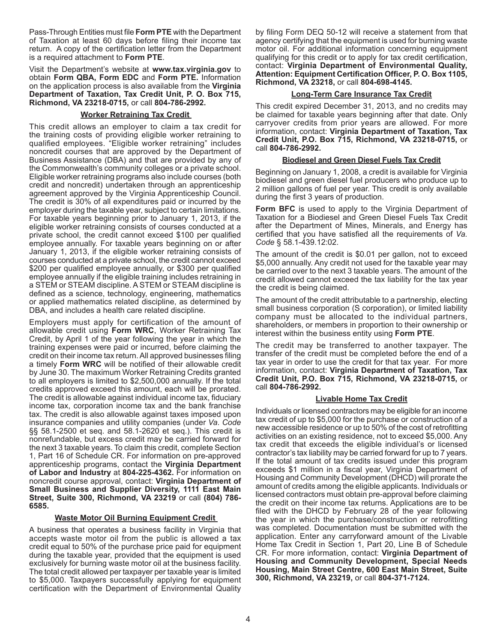Pass-Through Entities must file **Form PTE** with the Department of Taxation at least 60 days before filing their income tax return. A copy of the certification letter from the Department is a required attachment to **Form PTE**.

Visit the Department's website at **www.tax.virginia.gov** to obtain **Form QBA, Form EDC** and **Form PTE.** Information on the application process is also available from the **Virginia Department of Taxation, Tax Credit Unit, P. O. Box 715, Richmond, VA 23218-0715,** or call **804-786-2992.**

### **Worker Retraining Tax Credit**

This credit allows an employer to claim a tax credit for the training costs of providing eligible worker retraining to qualified employees. "Eligible worker retraining" includes noncredit courses that are approved by the Department of Business Assistance (DBA) and that are provided by any of the Commonwealth's community colleges or a private school. Eligible worker retraining programs also include courses (both credit and noncredit) undertaken through an apprenticeship agreement approved by the Virginia Apprenticeship Council. The credit is 30% of all expenditures paid or incurred by the employer during the taxable year, subject to certain limitations. For taxable years beginning prior to January 1, 2013, if the eligible worker retraining consists of courses conducted at a private school, the credit cannot exceed \$100 per qualified employee annually. For taxable years beginning on or after January 1, 2013, if the eligible worker retraining consists of courses conducted at a private school, the credit cannot exceed \$200 per qualified employee annually, or \$300 per qualified employee annually if the eligible training includes retraining in a STEM or STEAM discipline. ASTEM or STEAM discipline is defined as a science, technology, engineering, mathematics or applied mathematics related discipline, as determined by DBA, and includes a health care related discipline.

Employers must apply for certification of the amount of allowable credit using **Form WRC**, Worker Retraining Tax Credit, by April 1 of the year following the year in which the training expenses were paid or incurred, before claiming the credit on their income tax return.All approved businesses filing a timely **Form WRC** will be notified of their allowable credit by June 30. The maximum Worker Retraining Credits granted to all employers is limited to \$2,500,000 annually. If the total credits approved exceed this amount, each will be prorated. The credit is allowable against individual income tax, fiduciary income tax, corporation income tax and the bank franchise tax. The credit is also allowable against taxes imposed upon insurance companies and utility companies (under *Va. Code* §§ 58.1-2500 et seq. and 58.1-2620 et seq.). This credit is nonrefundable, but excess credit may be carried forward for the next 3 taxable years. To claim this credit, complete Section 1, Part 16 of Schedule CR. For information on pre-approved apprenticeship programs, contact the **Virginia Department of Labor and Industry** at **804-225-4362.** For information on noncredit course approval, contact: **Virginia Department of Small Business and Supplier Diversity, 1111 East Main Street, Suite 300, Richmond, VA 23219** or call **(804) 786- 6585.**

# **Waste Motor Oil Burning Equipment Credit**

A business that operates a business facility in Virginia that accepts waste motor oil from the public is allowed a tax credit equal to 50% of the purchase price paid for equipment during the taxable year, provided that the equipment is used exclusively for burning waste motor oil at the business facility. The total credit allowed per taxpayer per taxable year is limited to \$5,000. Taxpayers successfully applying for equipment certification with the Department of Environmental Quality

by filing Form DEQ 50-12 will receive a statement from that agency certifying that the equipment is used for burning waste motor oil. For additional information concerning equipment qualifying for this credit or to apply for tax credit certification, contact: **Virginia Department of Environmental Quality, Attention: Equipment Certification Officer, P. O. Box 1105, Richmond, VA 23218,** or call **804-698-4145.**

# **Long-Term Care Insurance Tax Credit**

This credit expired December 31, 2013, and no credits may be claimed for taxable years beginning after that date. Only carryover credits from prior years are allowed. For more information, contact: **Virginia Department of Taxation, Tax Credit Unit, P.O. Box 715, Richmond, VA 23218-0715,** or call **804-786-2992.**

# **Biodiesel and Green Diesel Fuels Tax Credit**

Beginning on January 1, 2008, a credit is available for Virginia biodiesel and green diesel fuel producers who produce up to 2 million gallons of fuel per year. This credit is only available during the first 3 years of production.

**Form BFC** is used to apply to the Virginia Department of Taxation for a Biodiesel and Green Diesel Fuels Tax Credit after the Department of Mines, Minerals, and Energy has certified that you have satisfied all the requirements of *Va. Code* § 58.1-439.12:02.

The amount of the credit is \$0.01 per gallon, not to exceed \$5,000 annually. Any credit not used for the taxable year may be carried over to the next 3 taxable years. The amount of the credit allowed cannot exceed the tax liability for the tax year the credit is being claimed.

The amount of the credit attributable to a partnership, electing small business corporation (S corporation), or limited liability company must be allocated to the individual partners, shareholders, or members in proportion to their ownership or interest within the business entity using **Form PTE**.

The credit may be transferred to another taxpayer. The transfer of the credit must be completed before the end of a tax year in order to use the credit for that tax year. For more information, contact: **Virginia Department of Taxation, Tax Credit Unit, P.O. Box 715, Richmond, VA 23218-0715,** or call **804-786-2992.**

# **Livable Home Tax Credit**

Individuals or licensed contractors may be eligible for an income tax credit of up to \$5,000 for the purchase or construction of a new accessible residence or up to 50% of the cost of retrofitting activities on an existing residence, not to exceed \$5,000. Any tax credit that exceeds the eligible individual's or licensed contractor's tax liability may be carried forward for up to 7 years. If the total amount of tax credits issued under this program exceeds \$1 million in a fiscal year, Virginia Department of Housing and Community Development (DHCD) will prorate the amount of credits among the eligible applicants. Individuals or licensed contractors must obtain pre-approval before claiming the credit on their income tax returns. Applications are to be filed with the DHCD by February 28 of the year following the year in which the purchase/construction or retrofitting was completed. Documentation must be submitted with the application. Enter any carryforward amount of the Livable Home Tax Credit in Section 1, Part 20, Line B of Schedule CR. For more information, contact: **Virginia Department of Housing and Community Development, Special Needs Housing, Main Street Centre, 600 East Main Street, Suite 300, Richmond, VA 23219,** or call **804-371-7124.**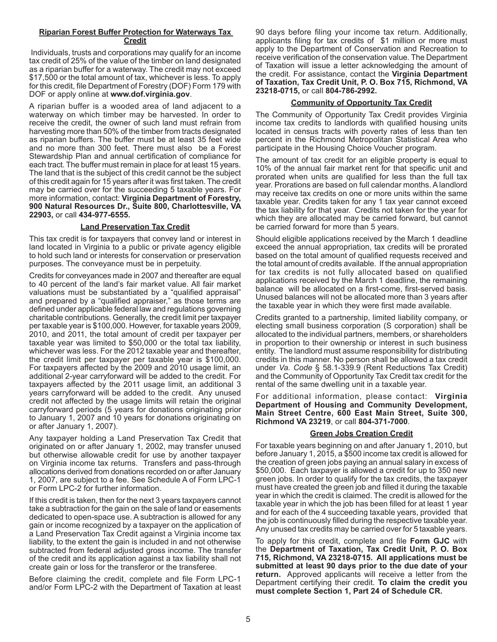# **Riparian Forest Buffer Protection for Waterways Tax Credit**

Individuals, trusts and corporations may qualify for an income tax credit of 25% of the value of the timber on land designated as a riparian buffer for a waterway. The credit may not exceed \$17,500 or the total amount of tax, whichever is less. To apply for this credit, file Department of Forestry (DOF) Form 179 with DOF or apply online at **www.dof.virginia.gov**.

A riparian buffer is a wooded area of land adjacent to a waterway on which timber may be harvested. In order to receive the credit, the owner of such land must refrain from harvesting more than 50% of the timber from tracts designated as riparian buffers. The buffer must be at least 35 feet wide and no more than 300 feet. There must also be a Forest Stewardship Plan and annual certification of compliance for each tract. The buffer must remain in place for at least 15 years. The land that is the subject of this credit cannot be the subject of this credit again for 15 years after it was first taken. The credit may be carried over for the succeeding 5 taxable years. For more information, contact: **Virginia Department of Forestry, 900 Natural Resources Dr., Suite 800, Charlottesville, VA 22903,** or call **434-977-6555.** 

### **Land Preservation Tax Credit**

This tax credit is for taxpayers that convey land or interest in land located in Virginia to a public or private agency eligible to hold such land or interests for conservation or preservation purposes. The conveyance must be in perpetuity.

Credits for conveyances made in 2007 and thereafter are equal to 40 percent of the land's fair market value. All fair market valuations must be substantiated by a "qualified appraisal" and prepared by a "qualified appraiser," as those terms are defined under applicable federal law and regulations governing charitable contributions. Generally, the credit limit per taxpayer per taxable year is \$100,000. However, for taxable years 2009, 2010, and 2011, the total amount of credit per taxpayer per taxable year was limited to \$50,000 or the total tax liability, whichever was less. For the 2012 taxable year and thereafter, the credit limit per taxpayer per taxable year is \$100,000. For taxpayers affected by the 2009 and 2010 usage limit, an additional 2-year carryforward will be added to the credit. For taxpayers affected by the 2011 usage limit, an additional 3 years carryforward will be added to the credit. Any unused credit not affected by the usage limits will retain the original carryforward periods (5 years for donations originating prior to January 1, 2007 and 10 years for donations originating on or after January 1, 2007).

Any taxpayer holding a Land Preservation Tax Credit that originated on or after January 1, 2002, may transfer unused but otherwise allowable credit for use by another taxpayer on Virginia income tax returns. Transfers and pass-through allocations derived from donations recorded on or after January 1, 2007, are subject to a fee. See Schedule A of Form LPC-1 or Form LPC-2 for further information.

If this credit is taken, then for the next 3 years taxpayers cannot take a subtraction for the gain on the sale of land or easements dedicated to open-space use. A subtraction is allowed for any gain or income recognized by a taxpayer on the application of a Land Preservation Tax Credit against a Virginia income tax liability, to the extent the gain is included in and not otherwise subtracted from federal adjusted gross income. The transfer of the credit and its application against a tax liability shall not create gain or loss for the transferor or the transferee.

Before claiming the credit, complete and file Form LPC-1 and/or Form LPC-2 with the Department of Taxation at least 90 days before filing your income tax return. Additionally, applicants filing for tax credits of \$1 million or more must apply to the Department of Conservation and Recreation to receive verification of the conservation value. The Department of Taxation will issue a letter acknowledging the amount of the credit. For assistance, contact the **Virginia Department of Taxation, Tax Credit Unit, P. O. Box 715, Richmond, VA 23218-0715,** or call **804-786-2992.**

# **Community of Opportunity Tax Credit**

The Community of Opportunity Tax Credit provides Virginia income tax credits to landlords with qualified housing units located in census tracts with poverty rates of less than ten percent in the Richmond Metropolitan Statistical Area who participate in the Housing Choice Voucher program.

The amount of tax credit for an eligible property is equal to 10% of the annual fair market rent for that specific unit and prorated when units are qualified for less than the full tax year. Prorations are based on full calendar months.Alandlord may receive tax credits on one or more units within the same taxable year. Credits taken for any 1 tax year cannot exceed the tax liability for that year. Credits not taken for the year for which they are allocated may be carried forward, but cannot be carried forward for more than 5 years.

Should eligible applications received by the March 1 deadline exceed the annual appropriation, tax credits will be prorated based on the total amount of qualified requests received and the total amount of credits available. If the annual appropriation for tax credits is not fully allocated based on qualified applications received by the March 1 deadline, the remaining balance will be allocated on a first-come, first-served basis. Unused balances will not be allocated more than 3 years after the taxable year in which they were first made available.

Credits granted to a partnership, limited liability company, or electing small business corporation (S corporation) shall be allocated to the individual partners, members, or shareholders in proportion to their ownership or interest in such business entity. The landlord must assume responsibility for distributing credits in this manner. No person shall be allowed a tax credit under *Va. Code* § 58.1-339.9 (Rent Reductions Tax Credit) and the Community of Opportunity Tax Credit tax credit for the rental of the same dwelling unit in a taxable year.

For additional information, please contact: **Virginia Department of Housing and Community Development, Main Street Centre, 600 East Main Street, Suite 300, Richmond VA 23219**, or call **804-371-7000**.

### **Green Jobs Creation Credit**

For taxable years beginning on and after January 1, 2010, but before January 1, 2015, a \$500 income tax credit is allowed for the creation of green jobs paying an annual salary in excess of \$50,000. Each taxpayer is allowed a credit for up to 350 new green jobs. In order to qualify for the tax credits, the taxpayer must have created the green job and filled it during the taxable year in which the credit is claimed. The credit is allowed for the taxable year in which the job has been filled for at least 1 year and for each of the 4 succeeding taxable years, provided that the job is continuously filled during the respective taxable year. Any unused tax credits may be carried over for 5 taxable years.

To apply for this credit, complete and file **Form GJC** with the **Department of Taxation, Tax Credit Unit, P. O. Box 715, Richmond, VA 23218-0715. All applications must be submitted at least 90 days prior to the due date of your return.** Approved applicants will receive a letter from the Department certifying their credit. **To claim the credit you must complete Section 1, Part 24 of Schedule CR.**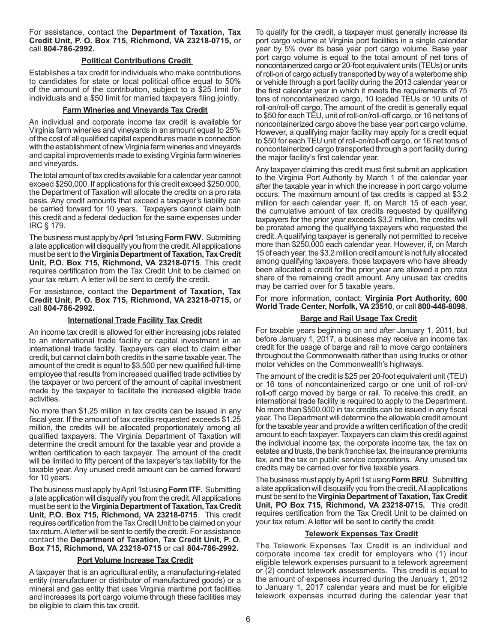For assistance, contact the **Department of Taxation, Tax Credit Unit, P. O. Box 715, Richmond, VA 23218-0715,** or call **804-786-2992.**

# **Political Contributions Credit**

Establishes a tax credit for individuals who make contributions to candidates for state or local political office equal to 50% of the amount of the contribution, subject to a \$25 limit for individuals and a \$50 limit for married taxpayers filing jointly.

### **Farm Wineries and Vineyards Tax Credit**

An individual and corporate income tax credit is available for Virginia farm wineries and vineyards in an amount equal to 25% of the cost of all qualified capital expenditures made in connection with the establishment of new Virginia farm wineries and vineyards and capital improvements made to existing Virginia farm wineries and vineyards.

The total amount of tax credits available for a calendar year cannot exceed \$250,000. If applications for this credit exceed \$250,000, the Department of Taxation will allocate the credits on a pro rata basis. Any credit amounts that exceed a taxpayer's liability can be carried forward for 10 years. Taxpayers cannot claim both this credit and a federal deduction for the same expenses under IRC § 179.

The business must apply by April 1st using Form FWV. Submitting a late application will disqualify you from the credit.All applications must be sent to the**Virginia Department of Taxation, Tax Credit Unit, P.O. Box 715, Richmond, VA 23218-0715**. This credit requires certification from the Tax Credit Unit to be claimed on your tax return. A letter will be sent to certify the credit.

For assistance, contact the **Department of Taxation, Tax Credit Unit, P. O. Box 715, Richmond, VA 23218-0715,** or call **804-786-2992.**

### **International Trade Facility Tax Credit**

An income tax credit is allowed for either increasing jobs related to an international trade facility or capital investment in an international trade facility. Taxpayers can elect to claim either credit, but cannot claim both credits in the same taxable year.The amount of the credit is equal to \$3,500 per new qualified full-time employee that results from increased qualified trade activities by the taxpayer or two percent of the amount of capital investment made by the taxpayer to facilitate the increased eligible trade activities.

No more than \$1.25 million in tax credits can be issued in any fiscal year. If the amount of tax credits requested exceeds \$1.25 million, the credits will be allocated proportionately among all qualified taxpayers. The Virginia Department of Taxation will determine the credit amount for the taxable year and provide a written certification to each taxpayer. The amount of the credit will be limited to fifty percent of the taxpayer's tax liability for the taxable year. Any unused credit amount can be carried forward for 10 years.

The business must apply byApril 1st using **Form ITF**. Submitting a late application will disqualify you from the credit.All applications must be sent to the **Virginia Department of Taxation, Tax Credit Unit, P.O. Box 715, Richmond, VA 23218-0715**. This credit requires certification from the Tax Credit Unit to be claimed on your tax return.Aletter will be sent to certify the credit. For assistance contact the **Department of Taxation, Tax Credit Unit, P. O. Box 715, Richmond, VA 23218-0715** or call **804-786-2992.**

### **Port Volume Increase Tax Credit**

A taxpayer that is an agricultural entity, a manufacturing-related entity (manufacturer or distributor of manufactured goods) or a mineral and gas entity that uses Virginia maritime port facilities and increases its port cargo volume through these facilities may be eligible to claim this tax credit.

To qualify for the credit, a taxpayer must generally increase its port cargo volume at Virginia port facilities in a single calendar year by 5% over its base year port cargo volume. Base year port cargo volume is equal to the total amount of net tons of noncontainerized cargo or 20-foot equivalent units (TEUs) or units ofroll-on of cargo actually transported by way of a waterborne ship or vehicle through a port facility during the 2013 calendar year or the first calendar year in which it meets the requirements of 75 tons of noncontainerized cargo, 10 loaded TEUs or 10 units of roll-on/roll-off cargo. The amount of the credit is generally equal to \$50 for each TEU, unit of roll-on/roll-off cargo, or 16 net tons of noncontainerized cargo above the base year port cargo volume. However, a qualifying major facility may apply for a credit equal to \$50 for each TEU unit of roll-on/roll-off cargo, or 16 net tons of noncontainerized cargo transported through a port facility during the major facility's first calendar year.

Any taxpayer claiming this credit must first submit an application to the Virginia Port Authority by March 1 of the calendar year after the taxable year in which the increase in port cargo volume occurs. The maximum amount of tax credits is capped at \$3.2 million for each calendar year. If, on March 15 of each year, the cumulative amount of tax credits requested by qualifying taxpayers for the prior year exceeds \$3.2 million, the credits will be prorated among the qualifying taxpayers who requested the credit.Aqualifying taxpayer is generally not permitted to receive more than \$250,000 each calendar year. However, if, on March 15 of each year, the \$3.2 million credit amount is not fully allocated among qualifying taxpayers, those taxpayers who have already been allocated a credit for the prior year are allowed a pro rata share of the remaining credit amount. Any unused tax credits may be carried over for 5 taxable years.

For more information, contact: **Virginia Port Authority, 600 World Trade Center, Norfolk, VA 23510**, or call **800-446-8098**.

# **Barge and Rail Usage Tax Credit**

For taxable years beginning on and after January 1, 2011, but before January 1, 2017, a business may receive an income tax credit for the usage of barge and rail to move cargo containers throughout the Commonwealth rather than using trucks or other motor vehicles on the Commonwealth's highways.

The amount of the credit is \$25 per 20-foot equivalent unit (TEU) or 16 tons of noncontainerized cargo or one unit of roll-on/ roll-off cargo moved by barge or rail. To receive this credit, an international trade facility is required to apply to the Department. No more than \$500,000 in tax credits can be issued in any fiscal year. The Department will determine the allowable credit amount for the taxable year and provide a written certification of the credit amount to each taxpayer. Taxpayers can claim this credit against the individual income tax, the corporate income tax, the tax on estates and trusts, the bank franchise tax, the insurance premiums tax, and the tax on public service corporations. Any unused tax credits may be carried over for five taxable years.

The business must apply byApril 1st using**Form BRU**. Submitting a late application will disqualify you from the credit.All applications must be sent to the**Virginia Department of Taxation, Tax Credit Unit, PO Box 715, Richmond, VA 23218-0715.** This credit requires certification from the Tax Credit Unit to be claimed on your tax return. A letter will be sent to certify the credit.

### **Telework Expenses Tax Credit**

The Telework Expenses Tax Credit is an individual and corporate income tax credit for employers who (1) incur eligible telework expenses pursuant to a telework agreement or (2) conduct telework assessments. This credit is equal to the amount of expenses incurred during the January 1, 2012 to January 1, 2017 calendar years and must be for eligible telework expenses incurred during the calendar year that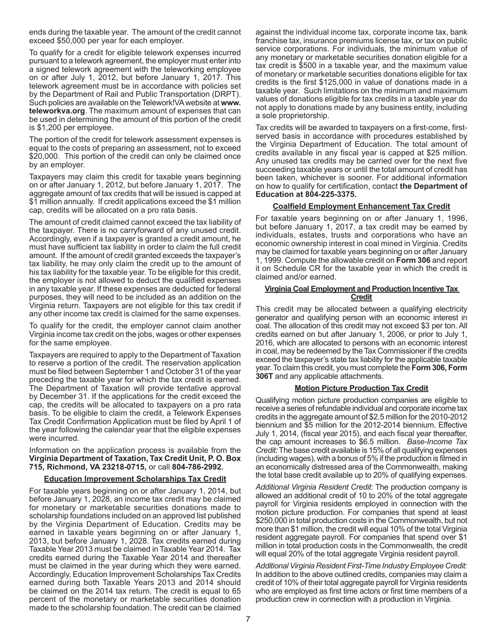ends during the taxable year. The amount of the credit cannot exceed \$50,000 per year for each employer.

To qualify for a credit for eligible telework expenses incurred pursuant to a telework agreement, the employer must enter into a signed telework agreement with the teleworking employee on or after July 1, 2012, but before January 1, 2017. This telework agreement must be in accordance with policies set by the Department of Rail and Public Transportation (DRPT). Such policies are available on the Telework!VAwebsite at **www. teleworkva.org**. The maximum amount of expenses that can be used in determining the amount of this portion of the credit is \$1,200 per employee.

The portion of the credit for telework assessment expenses is equal to the costs of preparing an assessment, not to exceed \$20,000. This portion of the credit can only be claimed once by an employer.

Taxpayers may claim this credit for taxable years beginning on or after January 1, 2012, but before January 1, 2017. The aggregate amount of tax credits that will be issued is capped at \$1 million annually. If credit applications exceed the \$1 million cap, credits will be allocated on a pro rata basis.

The amount of credit claimed cannot exceed the tax liability of the taxpayer. There is no carryforward of any unused credit. Accordingly, even if a taxpayer is granted a credit amount, he must have sufficient tax liability in order to claim the full credit amount. If the amount of credit granted exceeds the taxpayer's tax liability, he may only claim the credit up to the amount of his tax liability for the taxable year. To be eligible for this credit, the employer is not allowed to deduct the qualified expenses in any taxable year. If these expenses are deducted for federal purposes, they will need to be included as an addition on the Virginia return. Taxpayers are not eligible for this tax credit if any other income tax credit is claimed for the same expenses.

To qualify for the credit, the employer cannot claim another Virginia income tax credit on the jobs, wages or other expenses for the same employee.

Taxpayers are required to apply to the Department of Taxation to reserve a portion of the credit. The reservation application must be filed between September 1 and October 31 of the year preceding the taxable year for which the tax credit is earned. The Department of Taxation will provide tentative approval by December 31. If the applications for the credit exceed the cap, the credits will be allocated to taxpayers on a pro rata basis. To be eligible to claim the credit, a Telework Expenses Tax Credit Confirmation Application must be filed by April 1 of the year following the calendar year that the eligible expenses were incurred.

Information on the application process is available from the **Virginia Department of Taxation, Tax Credit Unit, P. O. Box 715, Richmond, VA 23218-0715,** or call **804-786-2992.**

### **Education Improvement Scholarships Tax Credit**

For taxable years beginning on or after January 1, 2014, but before January 1, 2028, an income tax credit may be claimed for monetary or marketable securities donations made to scholarship foundations included on an approved list published by the Virginia Department of Education. Credits may be earned in taxable years beginning on or after January 1, 2013, but before January 1, 2028. Tax credits earned during Taxable Year 2013 must be claimed in Taxable Year 2014. Tax credits earned during the Taxable Year 2014 and thereafter must be claimed in the year during which they were earned. Accordingly, Education Improvement Scholarships Tax Credits earned during both Taxable Years 2013 and 2014 should be claimed on the 2014 tax return. The credit is equal to 65 percent of the monetary or marketable securities donation made to the scholarship foundation. The credit can be claimed

against the individual income tax, corporate income tax, bank franchise tax, insurance premiums license tax, or tax on public service corporations. For individuals, the minimum value of any monetary or marketable securities donation eligible for a tax credit is \$500 in a taxable year, and the maximum value of monetary or marketable securities donations eligible for tax credits is the first \$125,000 in value of donations made in a taxable year. Such limitations on the minimum and maximum values of donations eligible for tax credits in a taxable year do not apply to donations made by any business entity, including a sole proprietorship.

Tax credits will be awarded to taxpayers on a first-come, firstserved basis in accordance with procedures established by the Virginia Department of Education. The total amount of credits available in any fiscal year is capped at \$25 million. Any unused tax credits may be carried over for the next five succeeding taxable years or until the total amount of credit has been taken, whichever is sooner. For additional information on how to qualify for certification, contact **the Department of Education at 804-225-3375.**

### **Coalfield Employment Enhancement Tax Credit**

For taxable years beginning on or after January 1, 1996, but before January 1, 2017, a tax credit may be earned by individuals, estates, trusts and corporations who have an economic ownership interest in coal mined in Virginia. Credits may be claimed for taxable years beginning on or after January 1, 1999. Compute the allowable credit on **Form 306** and report it on Schedule CR for the taxable year in which the credit is claimed and/or earned.

#### **Virginia Coal Employment and Production Incentive Tax Credit**

This credit may be allocated between a qualifying electricity generator and qualifying person with an economic interest in coal. The allocation of this credit may not exceed \$3 per ton. All credits earned on but after January 1, 2006, or prior to July 1, 2016, which are allocated to persons with an economic interest in coal, may be redeemed by the Tax Commissioner if the credits exceed the taxpayer's state tax liability for the applicable taxable year.To claim this credit, you must complete the **Form 306, Form 306T** and any applicable attachments.

### **Motion Picture Production Tax Credit**

Qualifying motion picture production companies are eligible to receive a series of refundable individual and corporate income tax credits in the aggregate amount of \$2.5 million for the 2010-2012 biennium and \$5 million for the 2012-2014 biennium. Effective July 1, 2014, (fiscal year 2015), and each fiscal year thereafter, the cap amount increases to \$6.5 million. *Base-Income Tax Credit:*The base credit available is 15% of all qualifying expenses (including wages), with a bonus of 5% if the production is filmed in an economically distressed area of the Commonwealth, making the total base credit available up to 20% of qualifying expenses.

*Additional Virginia Resident Credit:* The production company is allowed an additional credit of 10 to 20% of the total aggregate payroll for Virginia residents employed in connection with the motion picture production. For companies that spend at least \$250,000 in total production costs in the Commonwealth, but not more than \$1 million, the credit will equal 10% of the total Virginia resident aggregate payroll. For companies that spend over \$1 million in total production costs in the Commonwealth, the credit will equal 20% of the total aggregate Virginia resident payroll.

*Additional Virginia Resident First-Time Industry Employee Credit:* In addition to the above outlined credits, companies may claim a credit of 10% of their total aggregate payroll for Virginia residents who are employed as first time actors or first time members of a production crew in connection with a production in Virginia.